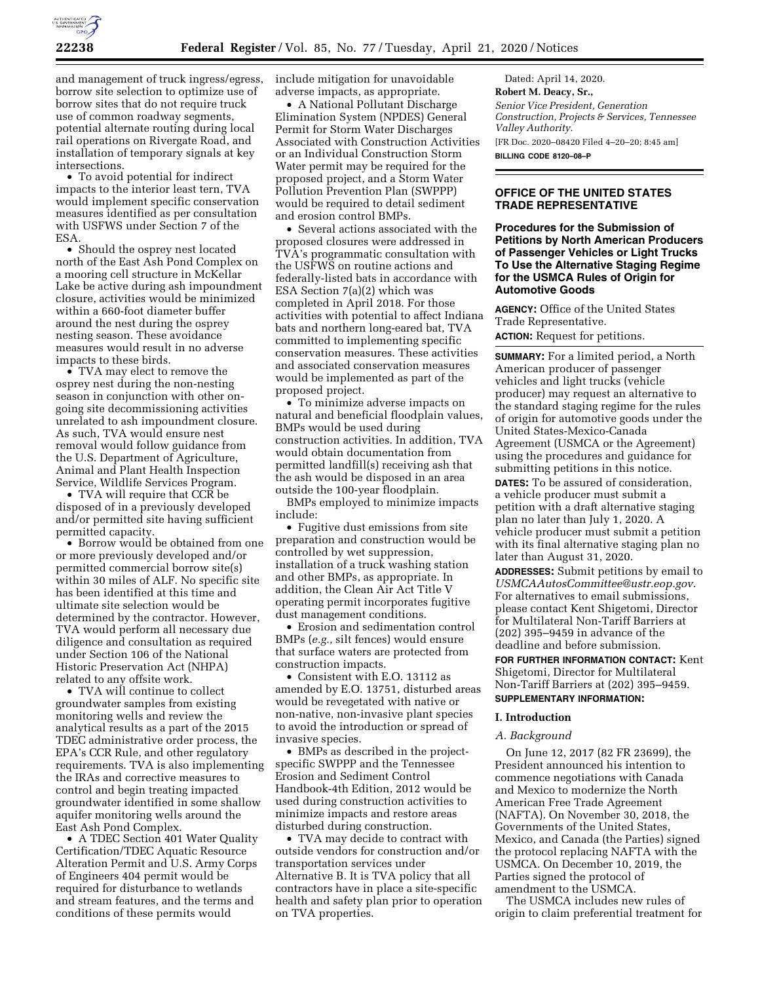

and management of truck ingress/egress, borrow site selection to optimize use of borrow sites that do not require truck use of common roadway segments, potential alternate routing during local rail operations on Rivergate Road, and installation of temporary signals at key intersections.

• To avoid potential for indirect impacts to the interior least tern, TVA would implement specific conservation measures identified as per consultation with USFWS under Section 7 of the ESA.

• Should the osprey nest located north of the East Ash Pond Complex on a mooring cell structure in McKellar Lake be active during ash impoundment closure, activities would be minimized within a 660-foot diameter buffer around the nest during the osprey nesting season. These avoidance measures would result in no adverse impacts to these birds.

• TVA may elect to remove the osprey nest during the non-nesting season in conjunction with other ongoing site decommissioning activities unrelated to ash impoundment closure. As such, TVA would ensure nest removal would follow guidance from the U.S. Department of Agriculture, Animal and Plant Health Inspection Service, Wildlife Services Program.

• TVA will require that CCR be disposed of in a previously developed and/or permitted site having sufficient permitted capacity.

• Borrow would be obtained from one or more previously developed and/or permitted commercial borrow site(s) within 30 miles of ALF. No specific site has been identified at this time and ultimate site selection would be determined by the contractor. However, TVA would perform all necessary due diligence and consultation as required under Section 106 of the National Historic Preservation Act (NHPA) related to any offsite work.

• TVA will continue to collect groundwater samples from existing monitoring wells and review the analytical results as a part of the 2015 TDEC administrative order process, the EPA's CCR Rule, and other regulatory requirements. TVA is also implementing the IRAs and corrective measures to control and begin treating impacted groundwater identified in some shallow aquifer monitoring wells around the East Ash Pond Complex.

• A TDEC Section 401 Water Quality Certification/TDEC Aquatic Resource Alteration Permit and U.S. Army Corps of Engineers 404 permit would be required for disturbance to wetlands and stream features, and the terms and conditions of these permits would

include mitigation for unavoidable adverse impacts, as appropriate.

• A National Pollutant Discharge Elimination System (NPDES) General Permit for Storm Water Discharges Associated with Construction Activities or an Individual Construction Storm Water permit may be required for the proposed project, and a Storm Water Pollution Prevention Plan (SWPPP) would be required to detail sediment and erosion control BMPs.

• Several actions associated with the proposed closures were addressed in TVA's programmatic consultation with the USFWS on routine actions and federally-listed bats in accordance with ESA Section 7(a)(2) which was completed in April 2018. For those activities with potential to affect Indiana bats and northern long-eared bat, TVA committed to implementing specific conservation measures. These activities and associated conservation measures would be implemented as part of the proposed project.

• To minimize adverse impacts on natural and beneficial floodplain values, BMPs would be used during construction activities. In addition, TVA would obtain documentation from permitted landfill(s) receiving ash that the ash would be disposed in an area outside the 100-year floodplain.

BMPs employed to minimize impacts include:

• Fugitive dust emissions from site preparation and construction would be controlled by wet suppression, installation of a truck washing station and other BMPs, as appropriate. In addition, the Clean Air Act Title V operating permit incorporates fugitive dust management conditions.

• Erosion and sedimentation control BMPs (*e.g.,* silt fences) would ensure that surface waters are protected from construction impacts.

• Consistent with E.O. 13112 as amended by E.O. 13751, disturbed areas would be revegetated with native or non-native, non-invasive plant species to avoid the introduction or spread of invasive species.

• BMPs as described in the projectspecific SWPPP and the Tennessee Erosion and Sediment Control Handbook-4th Edition, 2012 would be used during construction activities to minimize impacts and restore areas disturbed during construction.

• TVA may decide to contract with outside vendors for construction and/or transportation services under Alternative B. It is TVA policy that all contractors have in place a site-specific health and safety plan prior to operation on TVA properties.

Dated: April 14, 2020. **Robert M. Deacy, Sr.,**  *Senior Vice President, Generation Construction, Projects & Services, Tennessee Valley Authority.*  [FR Doc. 2020–08420 Filed 4–20–20; 8:45 am] **BILLING CODE 8120–08–P** 

# **OFFICE OF THE UNITED STATES TRADE REPRESENTATIVE**

**Procedures for the Submission of Petitions by North American Producers of Passenger Vehicles or Light Trucks To Use the Alternative Staging Regime for the USMCA Rules of Origin for Automotive Goods** 

**AGENCY:** Office of the United States Trade Representative. **ACTION:** Request for petitions.

**SUMMARY:** For a limited period, a North American producer of passenger vehicles and light trucks (vehicle producer) may request an alternative to the standard staging regime for the rules of origin for automotive goods under the United States-Mexico-Canada Agreement (USMCA or the Agreement) using the procedures and guidance for submitting petitions in this notice.

**DATES:** To be assured of consideration, a vehicle producer must submit a petition with a draft alternative staging plan no later than July 1, 2020. A vehicle producer must submit a petition with its final alternative staging plan no later than August 31, 2020.

**ADDRESSES:** Submit petitions by email to *[USMCAAutosCommittee@ustr.eop.gov.](mailto:USMCAAutosCommittee@ustr.eop.gov)*  For alternatives to email submissions, please contact Kent Shigetomi, Director for Multilateral Non-Tariff Barriers at (202) 395–9459 in advance of the deadline and before submission.

**FOR FURTHER INFORMATION CONTACT:** Kent Shigetomi, Director for Multilateral Non-Tariff Barriers at (202) 395–9459.

# **SUPPLEMENTARY INFORMATION:**

#### **I. Introduction**

#### *A. Background*

On June 12, 2017 (82 FR 23699), the President announced his intention to commence negotiations with Canada and Mexico to modernize the North American Free Trade Agreement (NAFTA). On November 30, 2018, the Governments of the United States, Mexico, and Canada (the Parties) signed the protocol replacing NAFTA with the USMCA. On December 10, 2019, the Parties signed the protocol of amendment to the USMCA.

The USMCA includes new rules of origin to claim preferential treatment for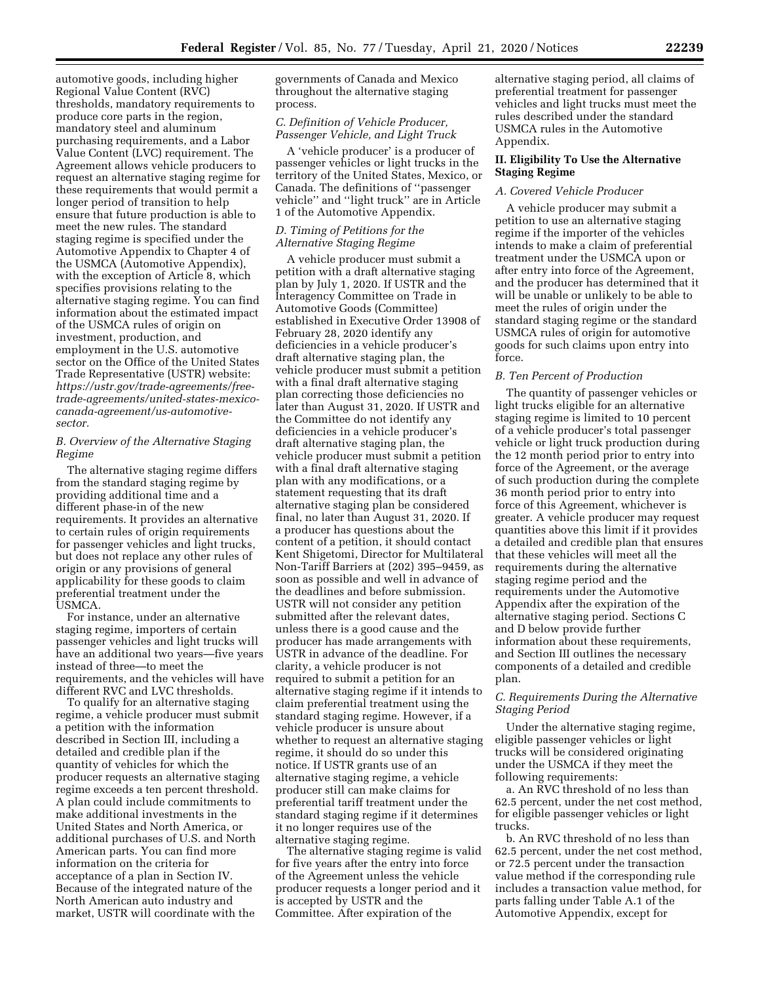automotive goods, including higher Regional Value Content (RVC) thresholds, mandatory requirements to produce core parts in the region, mandatory steel and aluminum purchasing requirements, and a Labor Value Content (LVC) requirement. The Agreement allows vehicle producers to request an alternative staging regime for these requirements that would permit a longer period of transition to help ensure that future production is able to meet the new rules. The standard staging regime is specified under the Automotive Appendix to Chapter 4 of the USMCA (Automotive Appendix), with the exception of Article 8, which specifies provisions relating to the alternative staging regime. You can find information about the estimated impact of the USMCA rules of origin on investment, production, and employment in the U.S. automotive sector on the Office of the United States Trade Representative (USTR) website: *https://ustr.gov/trade-agreements/free[trade-agreements/united-states-mexico](https://ustr.gov/trade-agreements/free-trade-agreements/united-states-mexico-canada-agreement/us-automotive-sector)canada-agreement/us-automotive[sector.](https://ustr.gov/trade-agreements/free-trade-agreements/united-states-mexico-canada-agreement/us-automotive-sector)* 

# *B. Overview of the Alternative Staging Regime*

The alternative staging regime differs from the standard staging regime by providing additional time and a different phase-in of the new requirements. It provides an alternative to certain rules of origin requirements for passenger vehicles and light trucks, but does not replace any other rules of origin or any provisions of general applicability for these goods to claim preferential treatment under the USMCA.

For instance, under an alternative staging regime, importers of certain passenger vehicles and light trucks will have an additional two years—five years instead of three—to meet the requirements, and the vehicles will have different RVC and LVC thresholds.

To qualify for an alternative staging regime, a vehicle producer must submit a petition with the information described in Section III, including a detailed and credible plan if the quantity of vehicles for which the producer requests an alternative staging regime exceeds a ten percent threshold. A plan could include commitments to make additional investments in the United States and North America, or additional purchases of U.S. and North American parts. You can find more information on the criteria for acceptance of a plan in Section IV. Because of the integrated nature of the North American auto industry and market, USTR will coordinate with the

governments of Canada and Mexico throughout the alternative staging process.

# *C. Definition of Vehicle Producer, Passenger Vehicle, and Light Truck*

A 'vehicle producer' is a producer of passenger vehicles or light trucks in the territory of the United States, Mexico, or Canada. The definitions of ''passenger vehicle'' and ''light truck'' are in Article 1 of the Automotive Appendix.

## *D. Timing of Petitions for the Alternative Staging Regime*

A vehicle producer must submit a petition with a draft alternative staging plan by July 1, 2020. If USTR and the Interagency Committee on Trade in Automotive Goods (Committee) established in Executive Order 13908 of February 28, 2020 identify any deficiencies in a vehicle producer's draft alternative staging plan, the vehicle producer must submit a petition with a final draft alternative staging plan correcting those deficiencies no later than August 31, 2020. If USTR and the Committee do not identify any deficiencies in a vehicle producer's draft alternative staging plan, the vehicle producer must submit a petition with a final draft alternative staging plan with any modifications, or a statement requesting that its draft alternative staging plan be considered final, no later than August 31, 2020. If a producer has questions about the content of a petition, it should contact Kent Shigetomi, Director for Multilateral Non-Tariff Barriers at (202) 395–9459, as soon as possible and well in advance of the deadlines and before submission. USTR will not consider any petition submitted after the relevant dates, unless there is a good cause and the producer has made arrangements with USTR in advance of the deadline. For clarity, a vehicle producer is not required to submit a petition for an alternative staging regime if it intends to claim preferential treatment using the standard staging regime. However, if a vehicle producer is unsure about whether to request an alternative staging regime, it should do so under this notice. If USTR grants use of an alternative staging regime, a vehicle producer still can make claims for preferential tariff treatment under the standard staging regime if it determines it no longer requires use of the alternative staging regime.

The alternative staging regime is valid for five years after the entry into force of the Agreement unless the vehicle producer requests a longer period and it is accepted by USTR and the Committee. After expiration of the

alternative staging period, all claims of preferential treatment for passenger vehicles and light trucks must meet the rules described under the standard USMCA rules in the Automotive Appendix.

## **II. Eligibility To Use the Alternative Staging Regime**

# *A. Covered Vehicle Producer*

A vehicle producer may submit a petition to use an alternative staging regime if the importer of the vehicles intends to make a claim of preferential treatment under the USMCA upon or after entry into force of the Agreement, and the producer has determined that it will be unable or unlikely to be able to meet the rules of origin under the standard staging regime or the standard USMCA rules of origin for automotive goods for such claims upon entry into force.

## *B. Ten Percent of Production*

The quantity of passenger vehicles or light trucks eligible for an alternative staging regime is limited to 10 percent of a vehicle producer's total passenger vehicle or light truck production during the 12 month period prior to entry into force of the Agreement, or the average of such production during the complete 36 month period prior to entry into force of this Agreement, whichever is greater. A vehicle producer may request quantities above this limit if it provides a detailed and credible plan that ensures that these vehicles will meet all the requirements during the alternative staging regime period and the requirements under the Automotive Appendix after the expiration of the alternative staging period. Sections C and D below provide further information about these requirements, and Section III outlines the necessary components of a detailed and credible plan.

# *C. Requirements During the Alternative Staging Period*

Under the alternative staging regime, eligible passenger vehicles or light trucks will be considered originating under the USMCA if they meet the following requirements:

a. An RVC threshold of no less than 62.5 percent, under the net cost method, for eligible passenger vehicles or light trucks.

b. An RVC threshold of no less than 62.5 percent, under the net cost method, or 72.5 percent under the transaction value method if the corresponding rule includes a transaction value method, for parts falling under Table A.1 of the Automotive Appendix, except for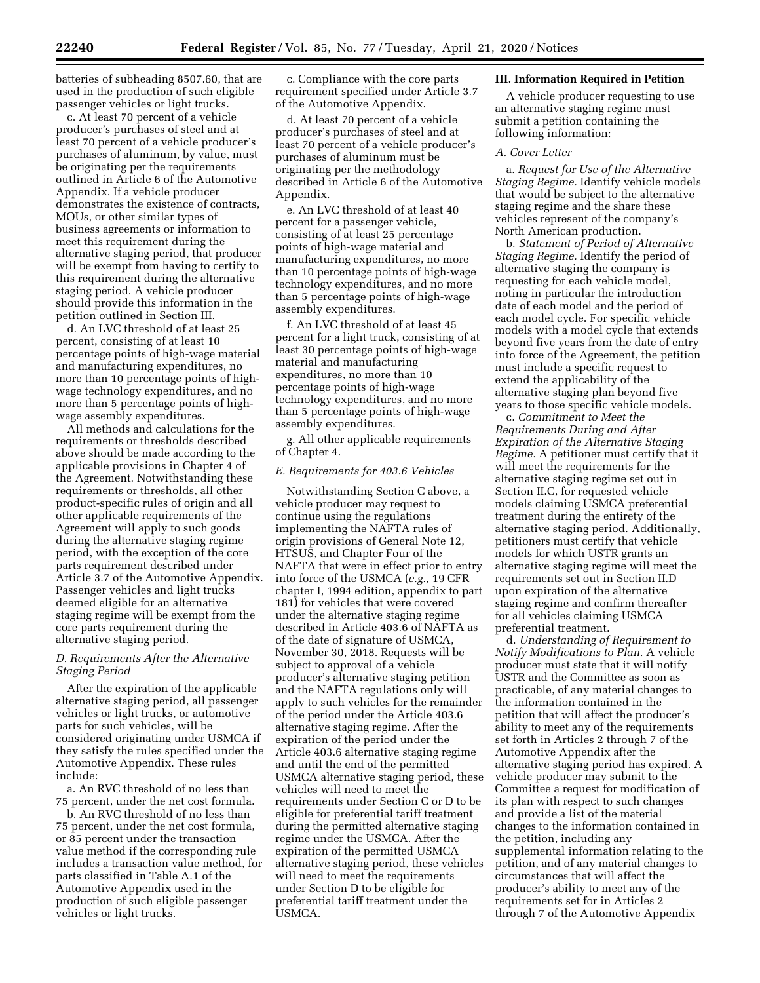batteries of subheading 8507.60, that are used in the production of such eligible passenger vehicles or light trucks.

c. At least 70 percent of a vehicle producer's purchases of steel and at least 70 percent of a vehicle producer's purchases of aluminum, by value, must be originating per the requirements outlined in Article 6 of the Automotive Appendix. If a vehicle producer demonstrates the existence of contracts, MOUs, or other similar types of business agreements or information to meet this requirement during the alternative staging period, that producer will be exempt from having to certify to this requirement during the alternative staging period. A vehicle producer should provide this information in the petition outlined in Section III.

d. An LVC threshold of at least 25 percent, consisting of at least 10 percentage points of high-wage material and manufacturing expenditures, no more than 10 percentage points of highwage technology expenditures, and no more than 5 percentage points of highwage assembly expenditures.

All methods and calculations for the requirements or thresholds described above should be made according to the applicable provisions in Chapter 4 of the Agreement. Notwithstanding these requirements or thresholds, all other product-specific rules of origin and all other applicable requirements of the Agreement will apply to such goods during the alternative staging regime period, with the exception of the core parts requirement described under Article 3.7 of the Automotive Appendix. Passenger vehicles and light trucks deemed eligible for an alternative staging regime will be exempt from the core parts requirement during the alternative staging period.

# *D. Requirements After the Alternative Staging Period*

After the expiration of the applicable alternative staging period, all passenger vehicles or light trucks, or automotive parts for such vehicles, will be considered originating under USMCA if they satisfy the rules specified under the Automotive Appendix. These rules include:

a. An RVC threshold of no less than 75 percent, under the net cost formula.

b. An RVC threshold of no less than 75 percent, under the net cost formula, or 85 percent under the transaction value method if the corresponding rule includes a transaction value method, for parts classified in Table A.1 of the Automotive Appendix used in the production of such eligible passenger vehicles or light trucks.

c. Compliance with the core parts requirement specified under Article 3.7 of the Automotive Appendix.

d. At least 70 percent of a vehicle producer's purchases of steel and at least 70 percent of a vehicle producer's purchases of aluminum must be originating per the methodology described in Article 6 of the Automotive Appendix.

e. An LVC threshold of at least 40 percent for a passenger vehicle, consisting of at least 25 percentage points of high-wage material and manufacturing expenditures, no more than 10 percentage points of high-wage technology expenditures, and no more than 5 percentage points of high-wage assembly expenditures.

f. An LVC threshold of at least 45 percent for a light truck, consisting of at least 30 percentage points of high-wage material and manufacturing expenditures, no more than 10 percentage points of high-wage technology expenditures, and no more than 5 percentage points of high-wage assembly expenditures.

g. All other applicable requirements of Chapter 4.

### *E. Requirements for 403.6 Vehicles*

Notwithstanding Section C above, a vehicle producer may request to continue using the regulations implementing the NAFTA rules of origin provisions of General Note 12, HTSUS, and Chapter Four of the NAFTA that were in effect prior to entry into force of the USMCA (*e.g.,* 19 CFR chapter I, 1994 edition, appendix to part 181) for vehicles that were covered under the alternative staging regime described in Article 403.6 of NAFTA as of the date of signature of USMCA, November 30, 2018. Requests will be subject to approval of a vehicle producer's alternative staging petition and the NAFTA regulations only will apply to such vehicles for the remainder of the period under the Article 403.6 alternative staging regime. After the expiration of the period under the Article 403.6 alternative staging regime and until the end of the permitted USMCA alternative staging period, these vehicles will need to meet the requirements under Section C or D to be eligible for preferential tariff treatment during the permitted alternative staging regime under the USMCA. After the expiration of the permitted USMCA alternative staging period, these vehicles will need to meet the requirements under Section D to be eligible for preferential tariff treatment under the USMCA.

#### **III. Information Required in Petition**

A vehicle producer requesting to use an alternative staging regime must submit a petition containing the following information:

#### *A. Cover Letter*

a. *Request for Use of the Alternative Staging Regime.* Identify vehicle models that would be subject to the alternative staging regime and the share these vehicles represent of the company's North American production.

b. *Statement of Period of Alternative Staging Regime.* Identify the period of alternative staging the company is requesting for each vehicle model, noting in particular the introduction date of each model and the period of each model cycle. For specific vehicle models with a model cycle that extends beyond five years from the date of entry into force of the Agreement, the petition must include a specific request to extend the applicability of the alternative staging plan beyond five years to those specific vehicle models.

c. *Commitment to Meet the Requirements During and After Expiration of the Alternative Staging Regime.* A petitioner must certify that it will meet the requirements for the alternative staging regime set out in Section II.C, for requested vehicle models claiming USMCA preferential treatment during the entirety of the alternative staging period. Additionally, petitioners must certify that vehicle models for which USTR grants an alternative staging regime will meet the requirements set out in Section II.D upon expiration of the alternative staging regime and confirm thereafter for all vehicles claiming USMCA preferential treatment.

d. *Understanding of Requirement to Notify Modifications to Plan.* A vehicle producer must state that it will notify USTR and the Committee as soon as practicable, of any material changes to the information contained in the petition that will affect the producer's ability to meet any of the requirements set forth in Articles 2 through 7 of the Automotive Appendix after the alternative staging period has expired. A vehicle producer may submit to the Committee a request for modification of its plan with respect to such changes and provide a list of the material changes to the information contained in the petition, including any supplemental information relating to the petition, and of any material changes to circumstances that will affect the producer's ability to meet any of the requirements set for in Articles 2 through 7 of the Automotive Appendix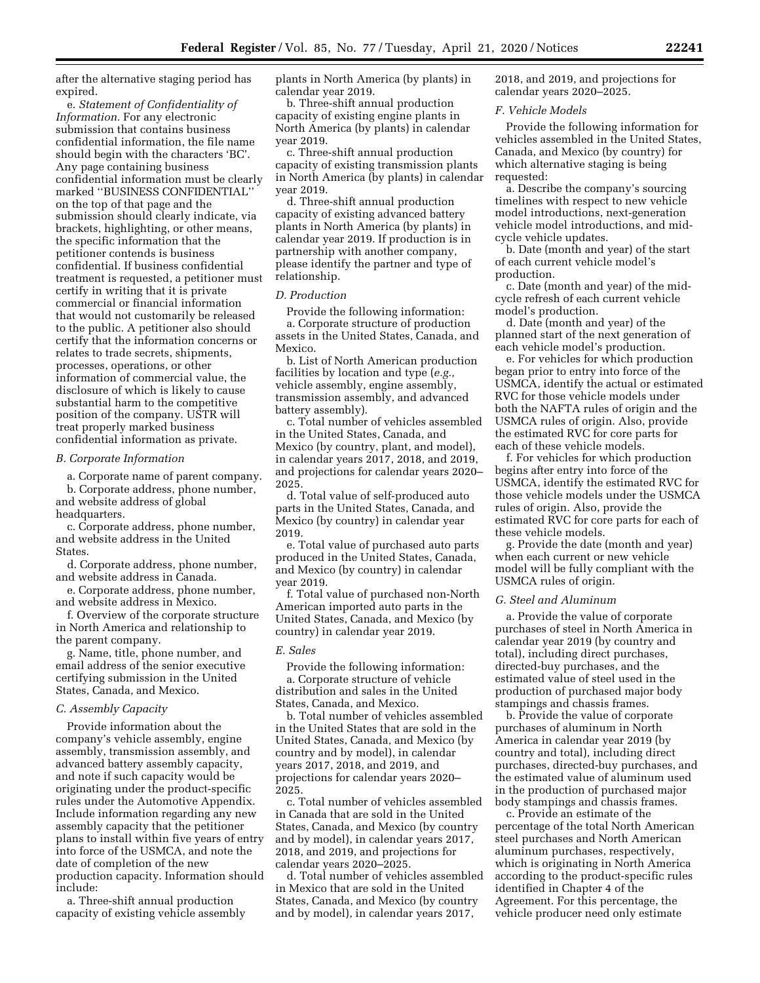after the alternative staging period has expired.

e. *Statement of Confidentiality of Information.* For any electronic submission that contains business confidential information, the file name should begin with the characters 'BC'. Any page containing business confidential information must be clearly marked ''BUSINESS CONFIDENTIAL'' on the top of that page and the submission should clearly indicate, via brackets, highlighting, or other means, the specific information that the petitioner contends is business confidential. If business confidential treatment is requested, a petitioner must certify in writing that it is private commercial or financial information that would not customarily be released to the public. A petitioner also should certify that the information concerns or relates to trade secrets, shipments, processes, operations, or other information of commercial value, the disclosure of which is likely to cause substantial harm to the competitive position of the company. USTR will treat properly marked business confidential information as private.

#### *B. Corporate Information*

a. Corporate name of parent company. b. Corporate address, phone number, and website address of global headquarters.

c. Corporate address, phone number, and website address in the United States.

d. Corporate address, phone number, and website address in Canada.

e. Corporate address, phone number, and website address in Mexico.

f. Overview of the corporate structure in North America and relationship to the parent company.

g. Name, title, phone number, and email address of the senior executive certifying submission in the United States, Canada, and Mexico.

### *C. Assembly Capacity*

Provide information about the company's vehicle assembly, engine assembly, transmission assembly, and advanced battery assembly capacity, and note if such capacity would be originating under the product-specific rules under the Automotive Appendix. Include information regarding any new assembly capacity that the petitioner plans to install within five years of entry into force of the USMCA, and note the date of completion of the new production capacity. Information should include:

a. Three-shift annual production capacity of existing vehicle assembly plants in North America (by plants) in calendar year 2019.

b. Three-shift annual production capacity of existing engine plants in North America (by plants) in calendar year 2019.

c. Three-shift annual production capacity of existing transmission plants in North America (by plants) in calendar year 2019.

d. Three-shift annual production capacity of existing advanced battery plants in North America (by plants) in calendar year 2019. If production is in partnership with another company, please identify the partner and type of relationship.

#### *D. Production*

Provide the following information: a. Corporate structure of production assets in the United States, Canada, and Mexico.

b. List of North American production facilities by location and type (*e.g.,*  vehicle assembly, engine assembly, transmission assembly, and advanced battery assembly).

c. Total number of vehicles assembled in the United States, Canada, and Mexico (by country, plant, and model), in calendar years 2017, 2018, and 2019, and projections for calendar years 2020– 2025.

d. Total value of self-produced auto parts in the United States, Canada, and Mexico (by country) in calendar year 2019.

e. Total value of purchased auto parts produced in the United States, Canada, and Mexico (by country) in calendar year 2019.

f. Total value of purchased non-North American imported auto parts in the United States, Canada, and Mexico (by country) in calendar year 2019.

#### *E. Sales*

Provide the following information: a. Corporate structure of vehicle distribution and sales in the United States, Canada, and Mexico.

b. Total number of vehicles assembled in the United States that are sold in the United States, Canada, and Mexico (by country and by model), in calendar years 2017, 2018, and 2019, and projections for calendar years 2020– 2025.

c. Total number of vehicles assembled in Canada that are sold in the United States, Canada, and Mexico (by country and by model), in calendar years 2017, 2018, and 2019, and projections for calendar years 2020–2025.

d. Total number of vehicles assembled in Mexico that are sold in the United States, Canada, and Mexico (by country and by model), in calendar years 2017,

2018, and 2019, and projections for calendar years 2020–2025.

#### *F. Vehicle Models*

Provide the following information for vehicles assembled in the United States, Canada, and Mexico (by country) for which alternative staging is being requested:

a. Describe the company's sourcing timelines with respect to new vehicle model introductions, next-generation vehicle model introductions, and midcycle vehicle updates.

b. Date (month and year) of the start of each current vehicle model's production.

c. Date (month and year) of the midcycle refresh of each current vehicle model's production.

d. Date (month and year) of the planned start of the next generation of each vehicle model's production.

e. For vehicles for which production began prior to entry into force of the USMCA, identify the actual or estimated RVC for those vehicle models under both the NAFTA rules of origin and the USMCA rules of origin. Also, provide the estimated RVC for core parts for each of these vehicle models.

f. For vehicles for which production begins after entry into force of the USMCA, identify the estimated RVC for those vehicle models under the USMCA rules of origin. Also, provide the estimated RVC for core parts for each of these vehicle models.

g. Provide the date (month and year) when each current or new vehicle model will be fully compliant with the USMCA rules of origin.

#### *G. Steel and Aluminum*

a. Provide the value of corporate purchases of steel in North America in calendar year 2019 (by country and total), including direct purchases, directed-buy purchases, and the estimated value of steel used in the production of purchased major body stampings and chassis frames.

b. Provide the value of corporate purchases of aluminum in North America in calendar year 2019 (by country and total), including direct purchases, directed-buy purchases, and the estimated value of aluminum used in the production of purchased major body stampings and chassis frames.

c. Provide an estimate of the percentage of the total North American steel purchases and North American aluminum purchases, respectively, which is originating in North America according to the product-specific rules identified in Chapter 4 of the Agreement. For this percentage, the vehicle producer need only estimate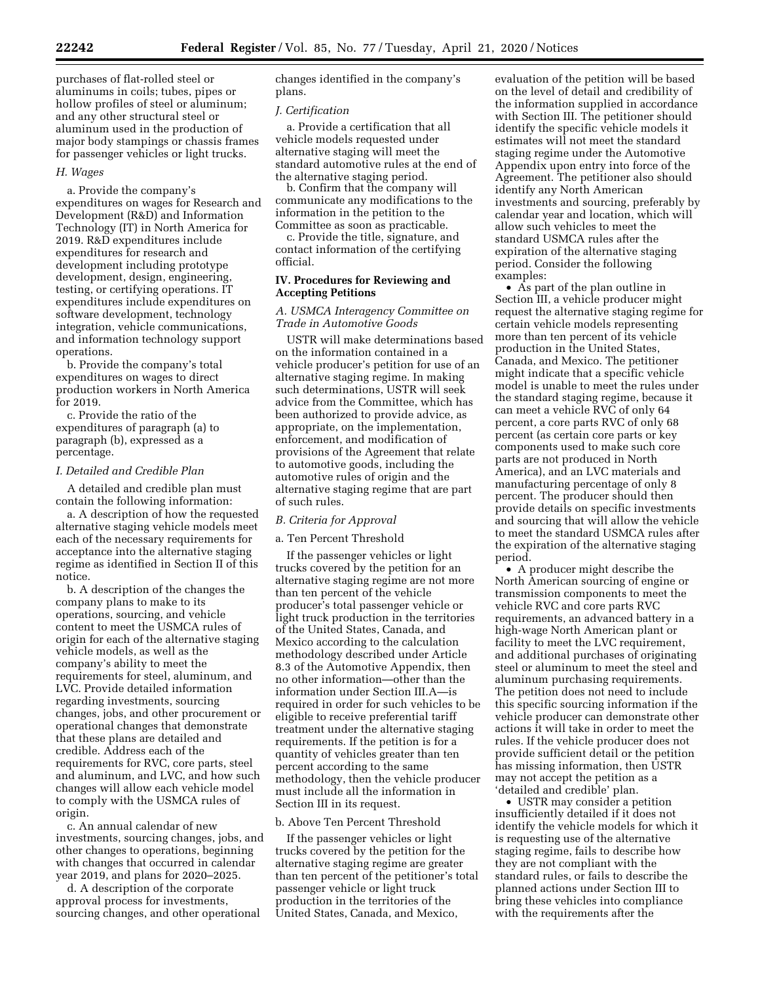purchases of flat-rolled steel or aluminums in coils; tubes, pipes or hollow profiles of steel or aluminum; and any other structural steel or aluminum used in the production of major body stampings or chassis frames for passenger vehicles or light trucks.

#### *H. Wages*

a. Provide the company's expenditures on wages for Research and Development (R&D) and Information Technology (IT) in North America for 2019. R&D expenditures include expenditures for research and development including prototype development, design, engineering, testing, or certifying operations. IT expenditures include expenditures on software development, technology integration, vehicle communications, and information technology support operations.

b. Provide the company's total expenditures on wages to direct production workers in North America for 2019.

c. Provide the ratio of the expenditures of paragraph (a) to paragraph (b), expressed as a percentage.

#### *I. Detailed and Credible Plan*

A detailed and credible plan must contain the following information:

a. A description of how the requested alternative staging vehicle models meet each of the necessary requirements for acceptance into the alternative staging regime as identified in Section II of this notice.

b. A description of the changes the company plans to make to its operations, sourcing, and vehicle content to meet the USMCA rules of origin for each of the alternative staging vehicle models, as well as the company's ability to meet the requirements for steel, aluminum, and LVC. Provide detailed information regarding investments, sourcing changes, jobs, and other procurement or operational changes that demonstrate that these plans are detailed and credible. Address each of the requirements for RVC, core parts, steel and aluminum, and LVC, and how such changes will allow each vehicle model to comply with the USMCA rules of origin.

c. An annual calendar of new investments, sourcing changes, jobs, and other changes to operations, beginning with changes that occurred in calendar year 2019, and plans for 2020–2025.

d. A description of the corporate approval process for investments, sourcing changes, and other operational changes identified in the company's plans.

## *J. Certification*

a. Provide a certification that all vehicle models requested under alternative staging will meet the standard automotive rules at the end of the alternative staging period.

b. Confirm that the company will communicate any modifications to the information in the petition to the Committee as soon as practicable.

c. Provide the title, signature, and contact information of the certifying official.

## **IV. Procedures for Reviewing and Accepting Petitions**

## *A. USMCA Interagency Committee on Trade in Automotive Goods*

USTR will make determinations based on the information contained in a vehicle producer's petition for use of an alternative staging regime. In making such determinations, USTR will seek advice from the Committee, which has been authorized to provide advice, as appropriate, on the implementation, enforcement, and modification of provisions of the Agreement that relate to automotive goods, including the automotive rules of origin and the alternative staging regime that are part of such rules.

## *B. Criteria for Approval*

## a. Ten Percent Threshold

If the passenger vehicles or light trucks covered by the petition for an alternative staging regime are not more than ten percent of the vehicle producer's total passenger vehicle or light truck production in the territories of the United States, Canada, and Mexico according to the calculation methodology described under Article 8.3 of the Automotive Appendix, then no other information—other than the information under Section III.A—is required in order for such vehicles to be eligible to receive preferential tariff treatment under the alternative staging requirements. If the petition is for a quantity of vehicles greater than ten percent according to the same methodology, then the vehicle producer must include all the information in Section III in its request.

#### b. Above Ten Percent Threshold

If the passenger vehicles or light trucks covered by the petition for the alternative staging regime are greater than ten percent of the petitioner's total passenger vehicle or light truck production in the territories of the United States, Canada, and Mexico,

evaluation of the petition will be based on the level of detail and credibility of the information supplied in accordance with Section III. The petitioner should identify the specific vehicle models it estimates will not meet the standard staging regime under the Automotive Appendix upon entry into force of the Agreement. The petitioner also should identify any North American investments and sourcing, preferably by calendar year and location, which will allow such vehicles to meet the standard USMCA rules after the expiration of the alternative staging period. Consider the following examples:

• As part of the plan outline in Section III, a vehicle producer might request the alternative staging regime for certain vehicle models representing more than ten percent of its vehicle production in the United States, Canada, and Mexico. The petitioner might indicate that a specific vehicle model is unable to meet the rules under the standard staging regime, because it can meet a vehicle RVC of only 64 percent, a core parts RVC of only 68 percent (as certain core parts or key components used to make such core parts are not produced in North America), and an LVC materials and manufacturing percentage of only 8 percent. The producer should then provide details on specific investments and sourcing that will allow the vehicle to meet the standard USMCA rules after the expiration of the alternative staging period.

• A producer might describe the North American sourcing of engine or transmission components to meet the vehicle RVC and core parts RVC requirements, an advanced battery in a high-wage North American plant or facility to meet the LVC requirement, and additional purchases of originating steel or aluminum to meet the steel and aluminum purchasing requirements. The petition does not need to include this specific sourcing information if the vehicle producer can demonstrate other actions it will take in order to meet the rules. If the vehicle producer does not provide sufficient detail or the petition has missing information, then USTR may not accept the petition as a 'detailed and credible' plan.

• USTR may consider a petition insufficiently detailed if it does not identify the vehicle models for which it is requesting use of the alternative staging regime, fails to describe how they are not compliant with the standard rules, or fails to describe the planned actions under Section III to bring these vehicles into compliance with the requirements after the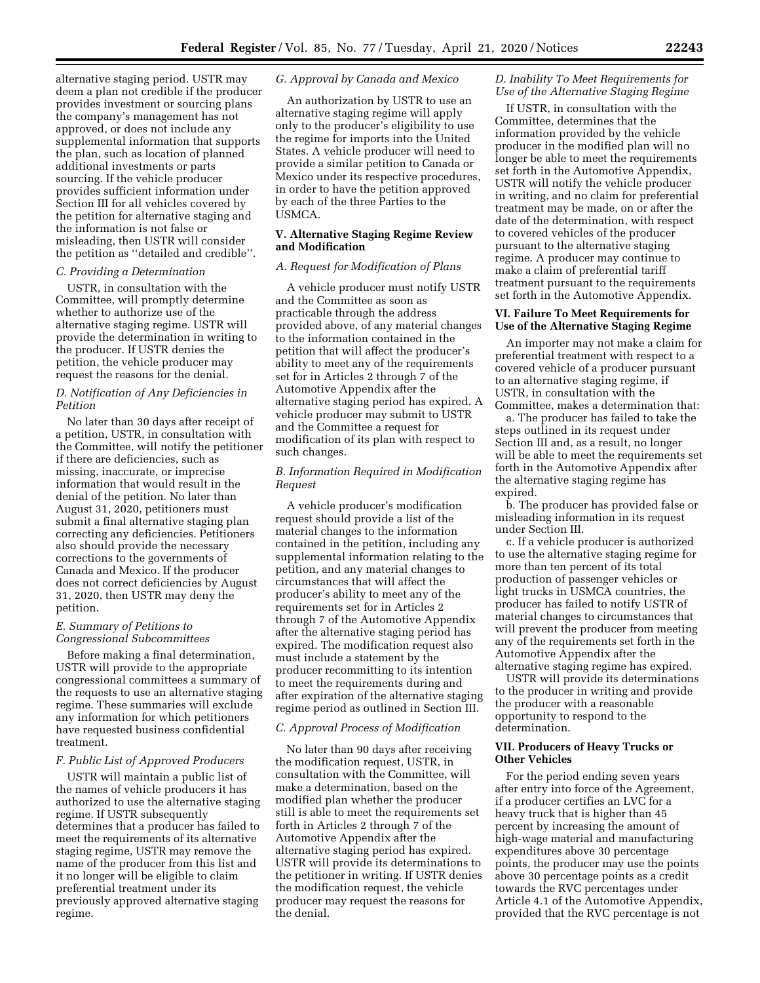alternative staging period. USTR may deem a plan not credible if the producer provides investment or sourcing plans the company's management has not approved, or does not include any supplemental information that supports the plan, such as location of planned additional investments or parts sourcing. If the vehicle producer provides sufficient information under Section III for all vehicles covered by the petition for alternative staging and the information is not false or misleading, then USTR will consider the petition as ''detailed and credible''.

## *C. Providing a Determination*

USTR, in consultation with the Committee, will promptly determine whether to authorize use of the alternative staging regime. USTR will provide the determination in writing to the producer. If USTR denies the petition, the vehicle producer may request the reasons for the denial.

## *D. Notification of Any Deficiencies in Petition*

No later than 30 days after receipt of a petition, USTR, in consultation with the Committee, will notify the petitioner if there are deficiencies, such as missing, inaccurate, or imprecise information that would result in the denial of the petition. No later than August 31, 2020, petitioners must submit a final alternative staging plan correcting any deficiencies. Petitioners also should provide the necessary corrections to the governments of Canada and Mexico. If the producer does not correct deficiencies by August 31, 2020, then USTR may deny the petition.

# *E. Summary of Petitions to Congressional Subcommittees*

Before making a final determination, USTR will provide to the appropriate congressional committees a summary of the requests to use an alternative staging regime. These summaries will exclude any information for which petitioners have requested business confidential treatment.

# *F. Public List of Approved Producers*

USTR will maintain a public list of the names of vehicle producers it has authorized to use the alternative staging regime. If USTR subsequently determines that a producer has failed to meet the requirements of its alternative staging regime, USTR may remove the name of the producer from this list and it no longer will be eligible to claim preferential treatment under its previously approved alternative staging regime.

## *G. Approval by Canada and Mexico*

An authorization by USTR to use an alternative staging regime will apply only to the producer's eligibility to use the regime for imports into the United States. A vehicle producer will need to provide a similar petition to Canada or Mexico under its respective procedures, in order to have the petition approved by each of the three Parties to the USMCA.

## **V. Alternative Staging Regime Review and Modification**

## *A. Request for Modification of Plans*

A vehicle producer must notify USTR and the Committee as soon as practicable through the address provided above, of any material changes to the information contained in the petition that will affect the producer's ability to meet any of the requirements set for in Articles 2 through 7 of the Automotive Appendix after the alternative staging period has expired. A vehicle producer may submit to USTR and the Committee a request for modification of its plan with respect to such changes.

# *B. Information Required in Modification Request*

A vehicle producer's modification request should provide a list of the material changes to the information contained in the petition, including any supplemental information relating to the petition, and any material changes to circumstances that will affect the producer's ability to meet any of the requirements set for in Articles 2 through 7 of the Automotive Appendix after the alternative staging period has expired. The modification request also must include a statement by the producer recommitting to its intention to meet the requirements during and after expiration of the alternative staging regime period as outlined in Section III.

## *C. Approval Process of Modification*

No later than 90 days after receiving the modification request, USTR, in consultation with the Committee, will make a determination, based on the modified plan whether the producer still is able to meet the requirements set forth in Articles 2 through 7 of the Automotive Appendix after the alternative staging period has expired. USTR will provide its determinations to the petitioner in writing. If USTR denies the modification request, the vehicle producer may request the reasons for the denial.

## *D. Inability To Meet Requirements for Use of the Alternative Staging Regime*

If USTR, in consultation with the Committee, determines that the information provided by the vehicle producer in the modified plan will no longer be able to meet the requirements set forth in the Automotive Appendix, USTR will notify the vehicle producer in writing, and no claim for preferential treatment may be made, on or after the date of the determination, with respect to covered vehicles of the producer pursuant to the alternative staging regime. A producer may continue to make a claim of preferential tariff treatment pursuant to the requirements set forth in the Automotive Appendix.

## **VI. Failure To Meet Requirements for Use of the Alternative Staging Regime**

An importer may not make a claim for preferential treatment with respect to a covered vehicle of a producer pursuant to an alternative staging regime, if USTR, in consultation with the Committee, makes a determination that:

a. The producer has failed to take the steps outlined in its request under Section III and, as a result, no longer will be able to meet the requirements set forth in the Automotive Appendix after the alternative staging regime has expired.

b. The producer has provided false or misleading information in its request under Section III.

c. If a vehicle producer is authorized to use the alternative staging regime for more than ten percent of its total production of passenger vehicles or light trucks in USMCA countries, the producer has failed to notify USTR of material changes to circumstances that will prevent the producer from meeting any of the requirements set forth in the Automotive Appendix after the alternative staging regime has expired.

USTR will provide its determinations to the producer in writing and provide the producer with a reasonable opportunity to respond to the determination.

## **VII. Producers of Heavy Trucks or Other Vehicles**

For the period ending seven years after entry into force of the Agreement, if a producer certifies an LVC for a heavy truck that is higher than 45 percent by increasing the amount of high-wage material and manufacturing expenditures above 30 percentage points, the producer may use the points above 30 percentage points as a credit towards the RVC percentages under Article 4.1 of the Automotive Appendix, provided that the RVC percentage is not